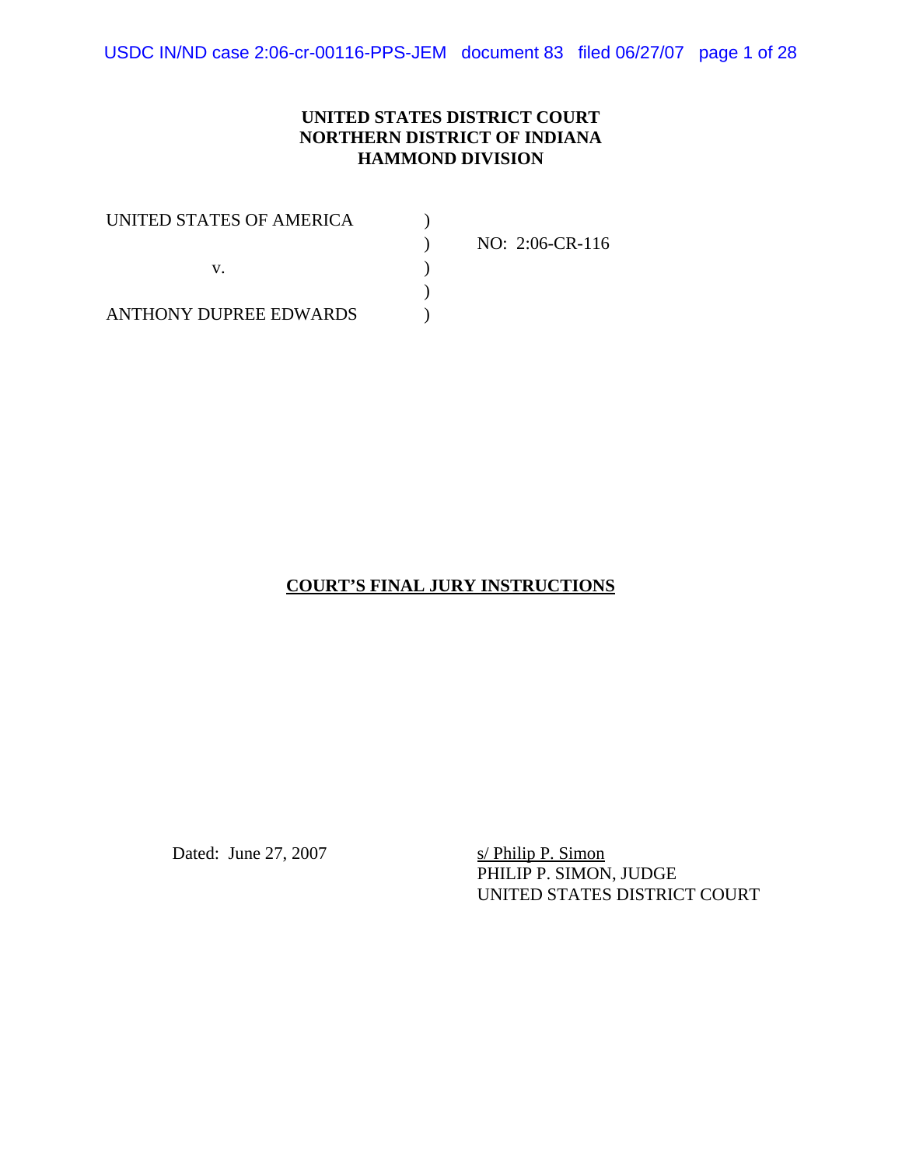USDC IN/ND case 2:06-cr-00116-PPS-JEM document 83 filed 06/27/07 page 1 of 28

#### **UNITED STATES DISTRICT COURT NORTHERN DISTRICT OF INDIANA HAMMOND DIVISION**

| UNITED STATES OF AMERICA |                 |
|--------------------------|-----------------|
|                          | NO: 2:06-CR-116 |
|                          |                 |
|                          |                 |
| ANTHONY DUPREE EDWARDS   |                 |

#### **COURT'S FINAL JURY INSTRUCTIONS**

Dated: June 27, 2007 s/ Philip P. Simon

PHILIP P. SIMON, JUDGE UNITED STATES DISTRICT COURT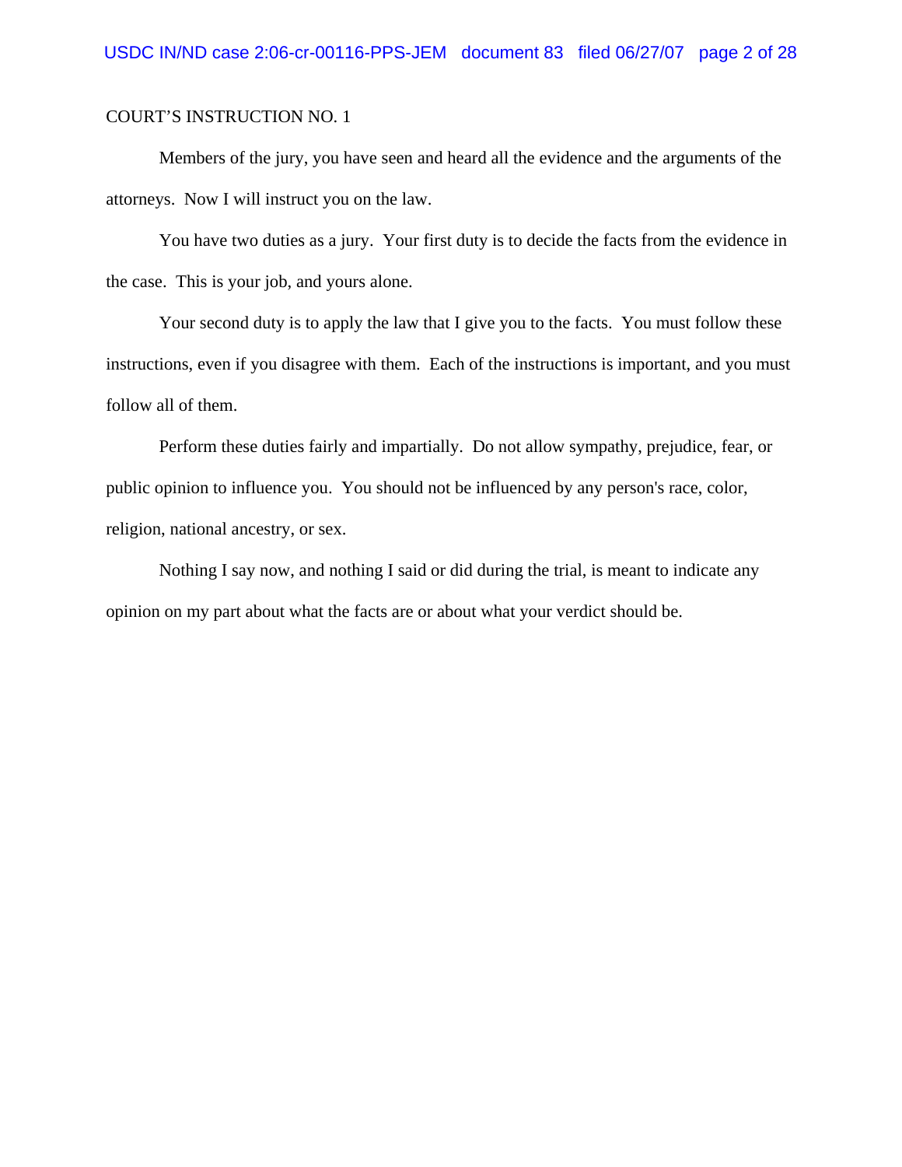Members of the jury, you have seen and heard all the evidence and the arguments of the attorneys. Now I will instruct you on the law.

You have two duties as a jury. Your first duty is to decide the facts from the evidence in the case. This is your job, and yours alone.

Your second duty is to apply the law that I give you to the facts. You must follow these instructions, even if you disagree with them. Each of the instructions is important, and you must follow all of them.

Perform these duties fairly and impartially. Do not allow sympathy, prejudice, fear, or public opinion to influence you. You should not be influenced by any person's race, color, religion, national ancestry, or sex.

Nothing I say now, and nothing I said or did during the trial, is meant to indicate any opinion on my part about what the facts are or about what your verdict should be.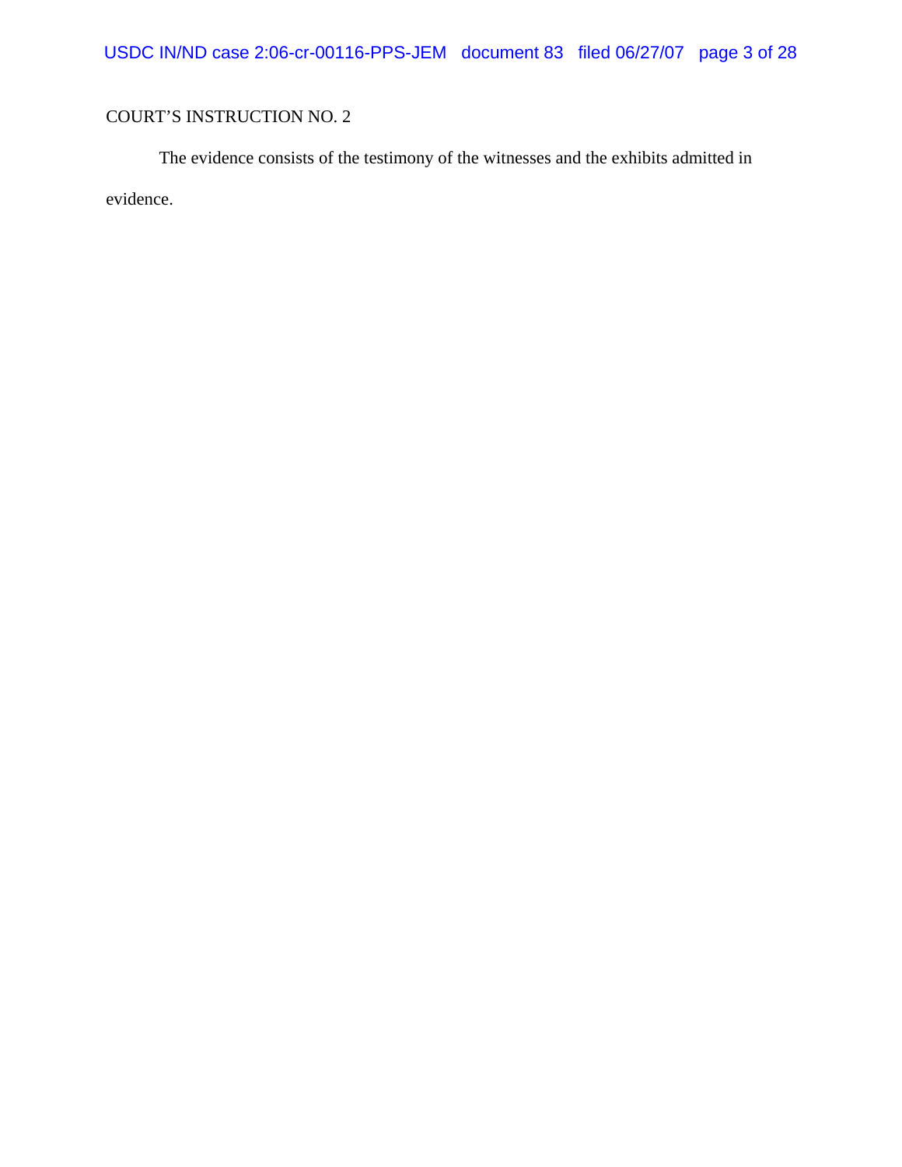The evidence consists of the testimony of the witnesses and the exhibits admitted in evidence.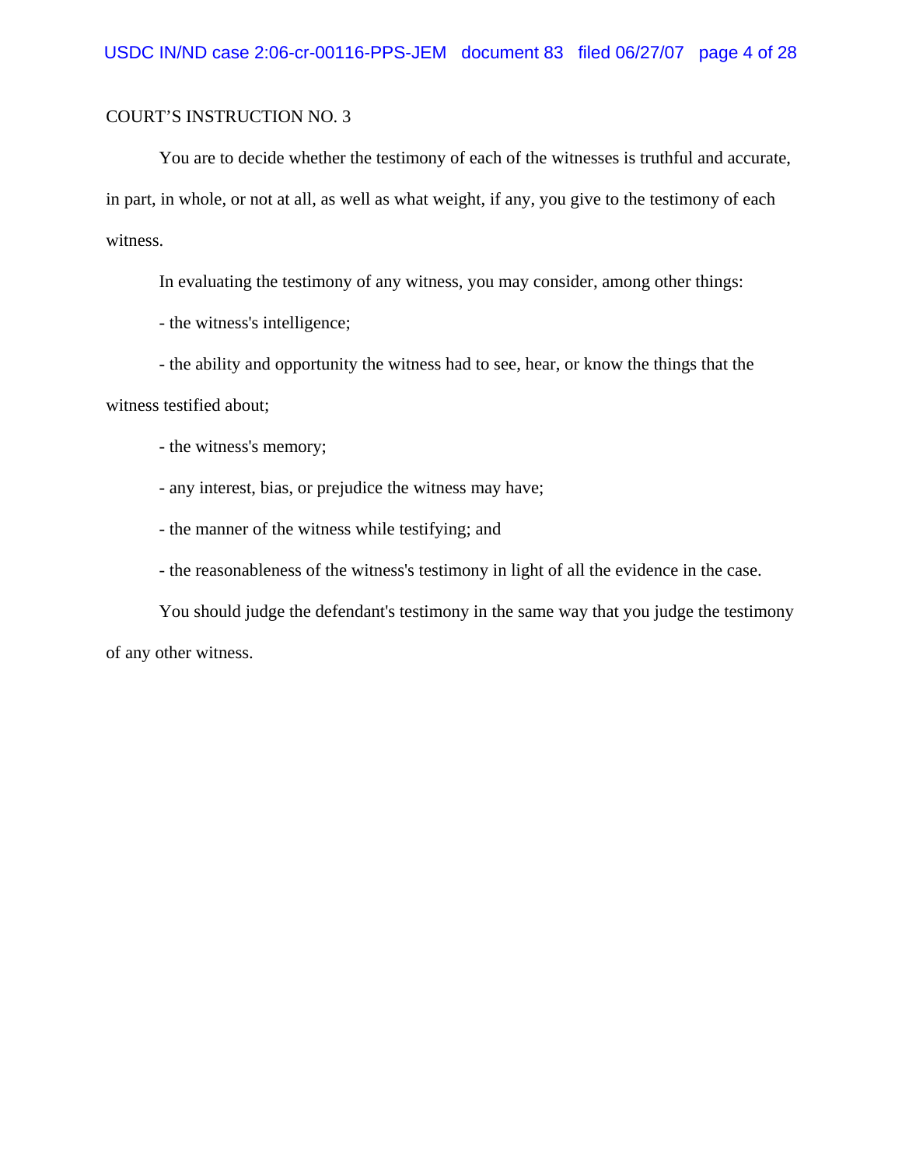You are to decide whether the testimony of each of the witnesses is truthful and accurate, in part, in whole, or not at all, as well as what weight, if any, you give to the testimony of each witness.

In evaluating the testimony of any witness, you may consider, among other things:

- the witness's intelligence;

- the ability and opportunity the witness had to see, hear, or know the things that the

witness testified about;

- the witness's memory;

- any interest, bias, or prejudice the witness may have;

- the manner of the witness while testifying; and

- the reasonableness of the witness's testimony in light of all the evidence in the case.

You should judge the defendant's testimony in the same way that you judge the testimony of any other witness.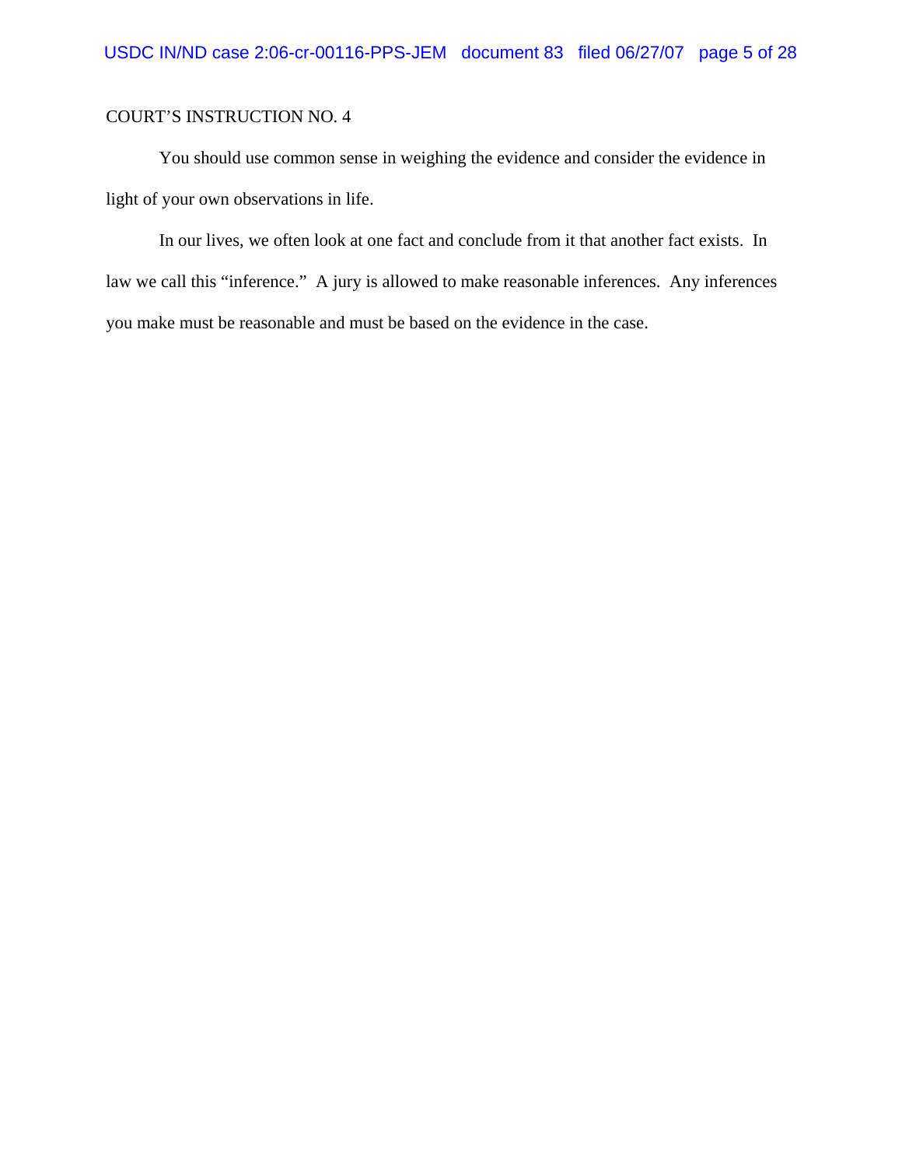You should use common sense in weighing the evidence and consider the evidence in light of your own observations in life.

In our lives, we often look at one fact and conclude from it that another fact exists. In law we call this "inference." A jury is allowed to make reasonable inferences. Any inferences you make must be reasonable and must be based on the evidence in the case.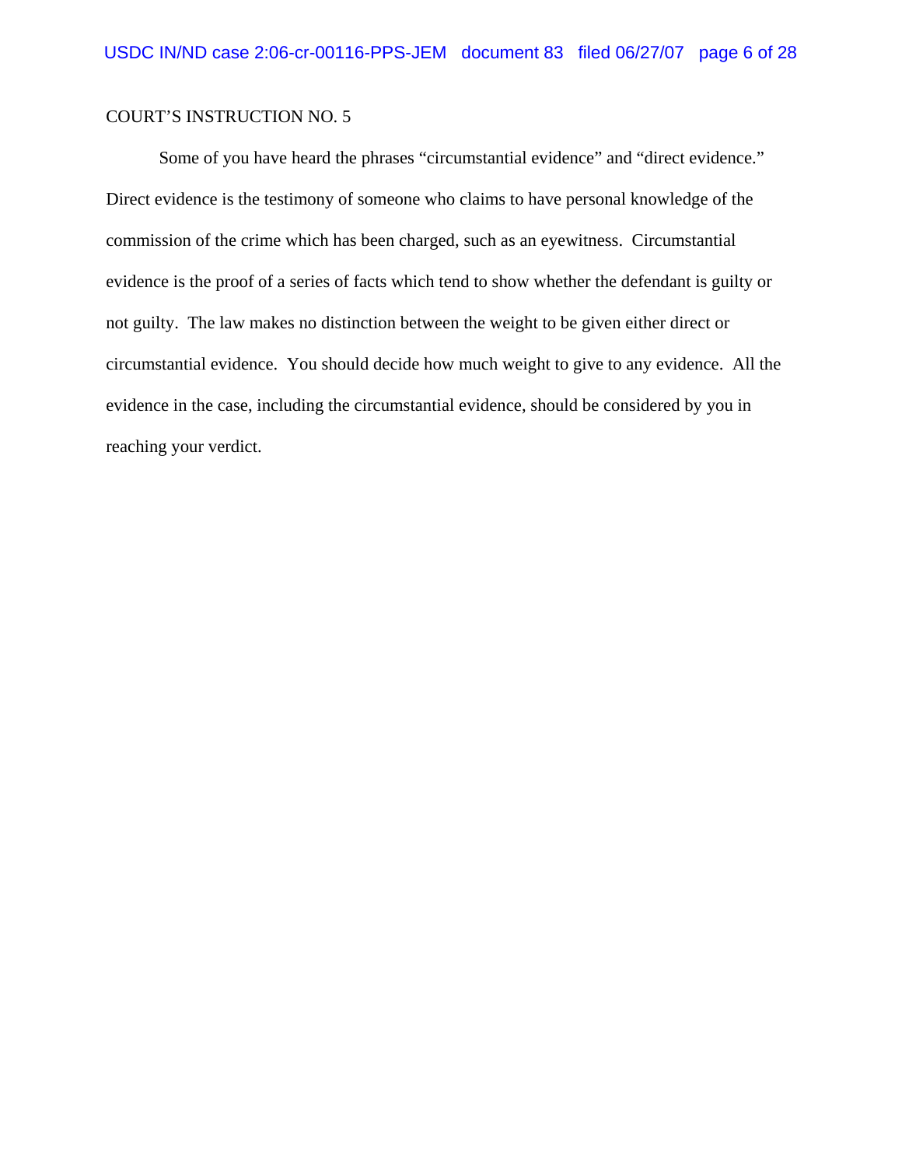Some of you have heard the phrases "circumstantial evidence" and "direct evidence." Direct evidence is the testimony of someone who claims to have personal knowledge of the commission of the crime which has been charged, such as an eyewitness. Circumstantial evidence is the proof of a series of facts which tend to show whether the defendant is guilty or not guilty. The law makes no distinction between the weight to be given either direct or circumstantial evidence. You should decide how much weight to give to any evidence. All the evidence in the case, including the circumstantial evidence, should be considered by you in reaching your verdict.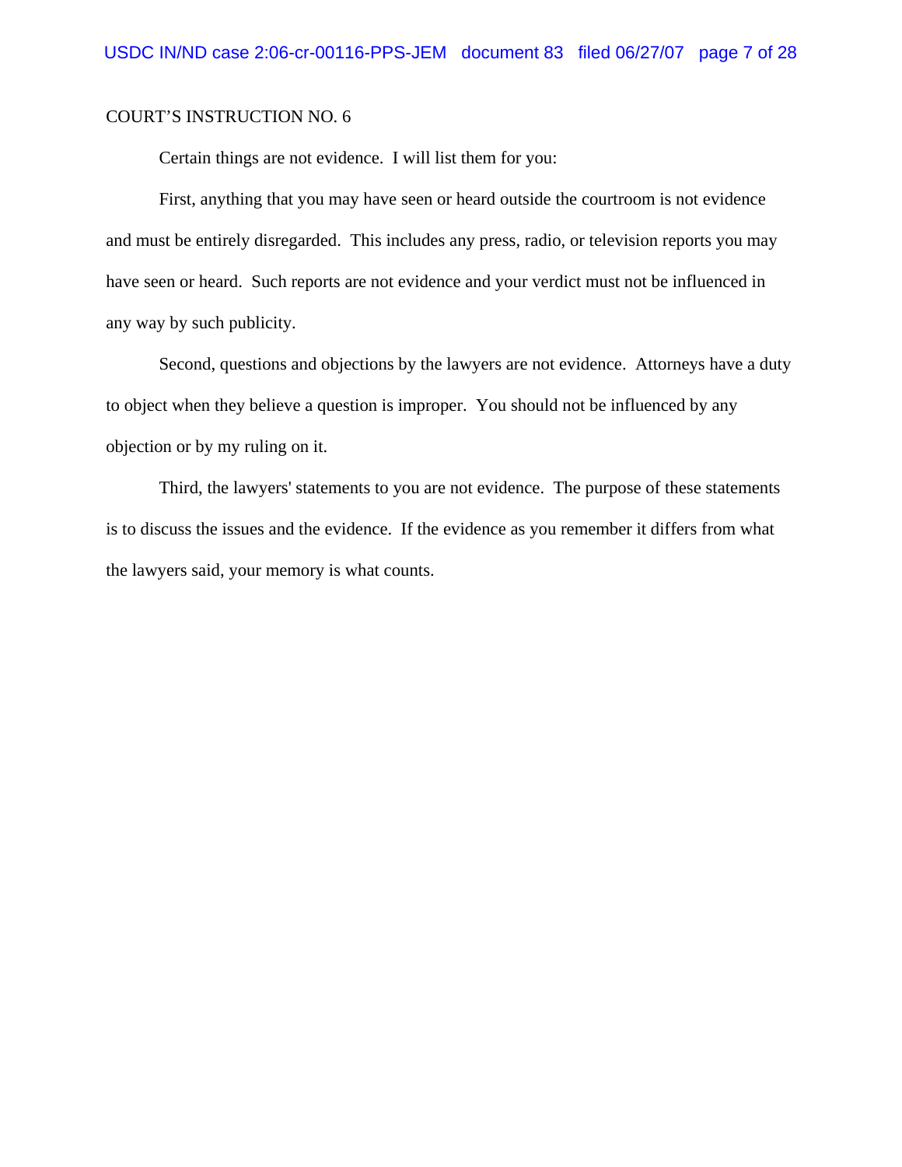Certain things are not evidence. I will list them for you:

First, anything that you may have seen or heard outside the courtroom is not evidence and must be entirely disregarded. This includes any press, radio, or television reports you may have seen or heard. Such reports are not evidence and your verdict must not be influenced in any way by such publicity.

Second, questions and objections by the lawyers are not evidence. Attorneys have a duty to object when they believe a question is improper. You should not be influenced by any objection or by my ruling on it.

Third, the lawyers' statements to you are not evidence. The purpose of these statements is to discuss the issues and the evidence. If the evidence as you remember it differs from what the lawyers said, your memory is what counts.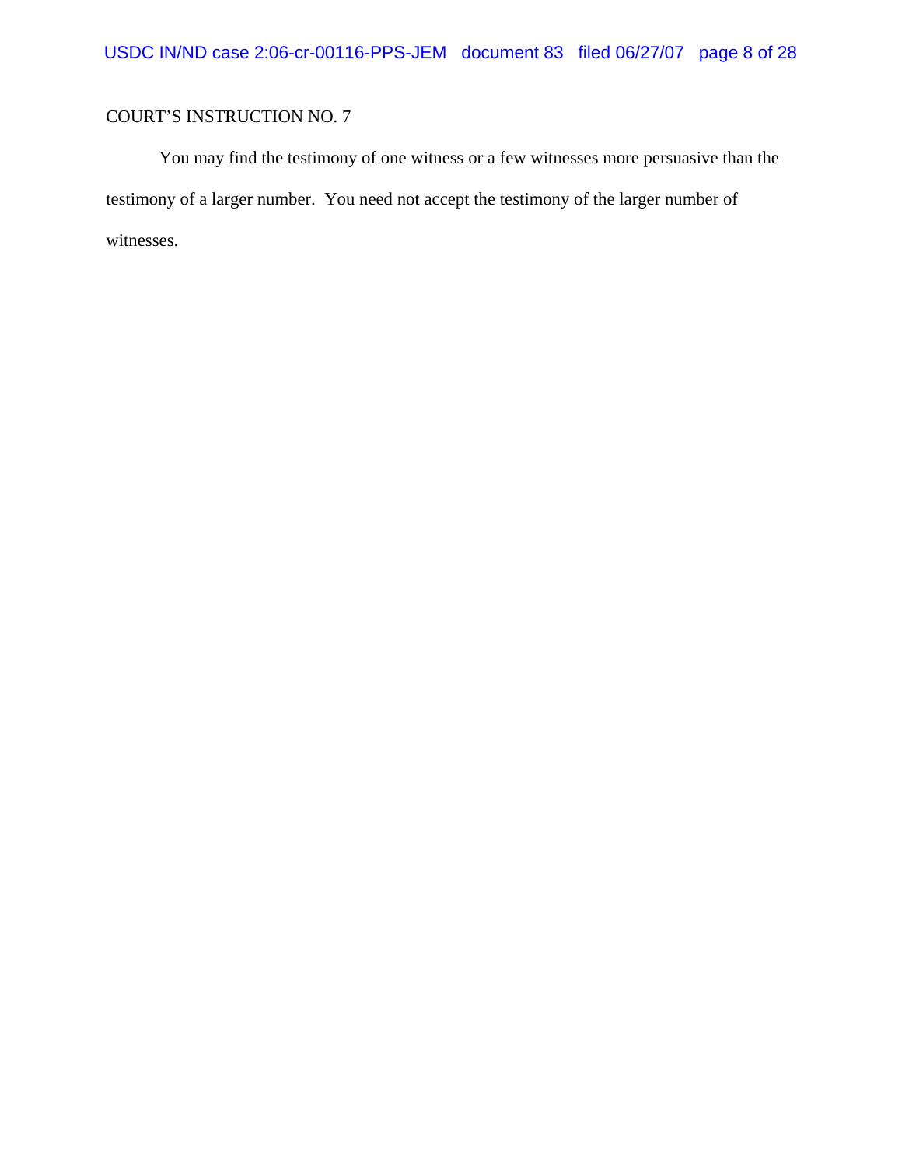You may find the testimony of one witness or a few witnesses more persuasive than the testimony of a larger number. You need not accept the testimony of the larger number of witnesses.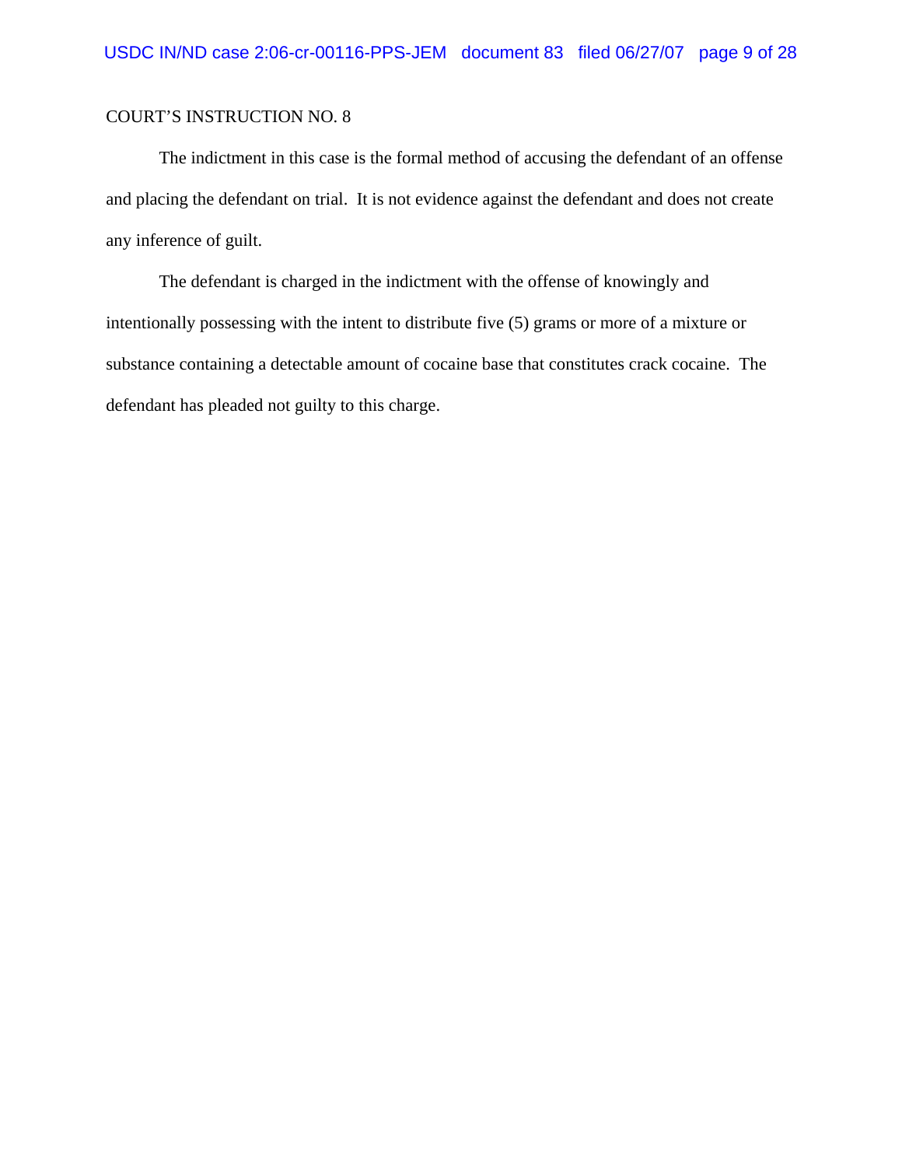The indictment in this case is the formal method of accusing the defendant of an offense and placing the defendant on trial. It is not evidence against the defendant and does not create any inference of guilt.

The defendant is charged in the indictment with the offense of knowingly and intentionally possessing with the intent to distribute five (5) grams or more of a mixture or substance containing a detectable amount of cocaine base that constitutes crack cocaine. The defendant has pleaded not guilty to this charge.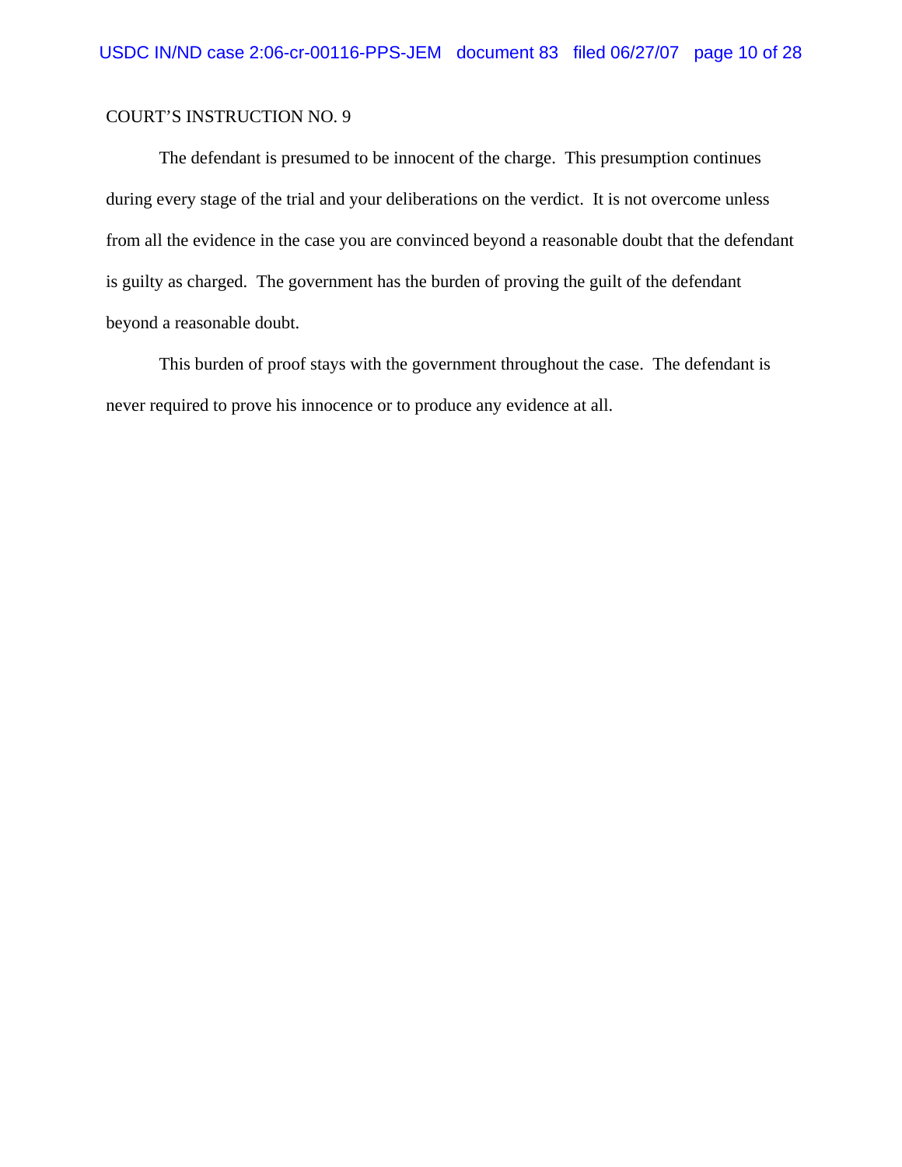The defendant is presumed to be innocent of the charge. This presumption continues during every stage of the trial and your deliberations on the verdict. It is not overcome unless from all the evidence in the case you are convinced beyond a reasonable doubt that the defendant is guilty as charged. The government has the burden of proving the guilt of the defendant beyond a reasonable doubt.

This burden of proof stays with the government throughout the case. The defendant is never required to prove his innocence or to produce any evidence at all.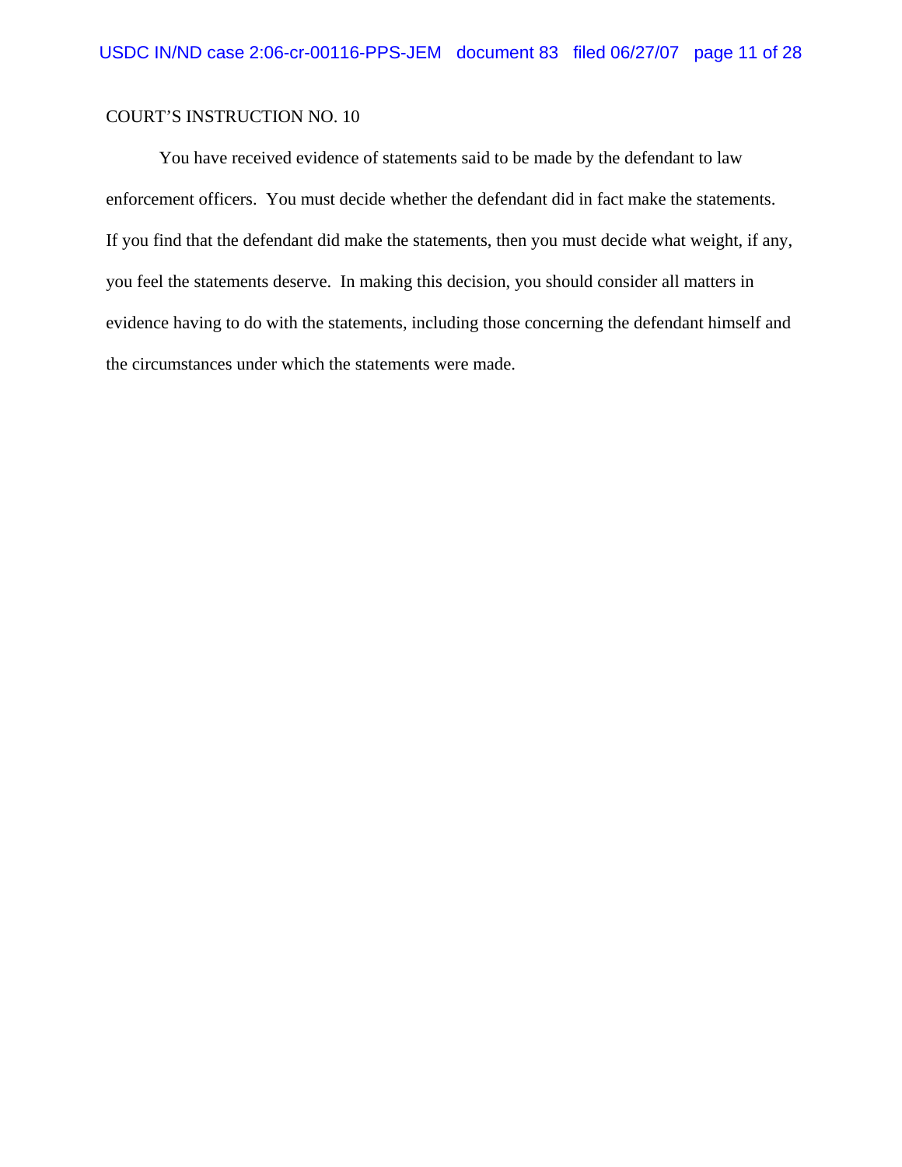You have received evidence of statements said to be made by the defendant to law enforcement officers. You must decide whether the defendant did in fact make the statements. If you find that the defendant did make the statements, then you must decide what weight, if any, you feel the statements deserve. In making this decision, you should consider all matters in evidence having to do with the statements, including those concerning the defendant himself and the circumstances under which the statements were made.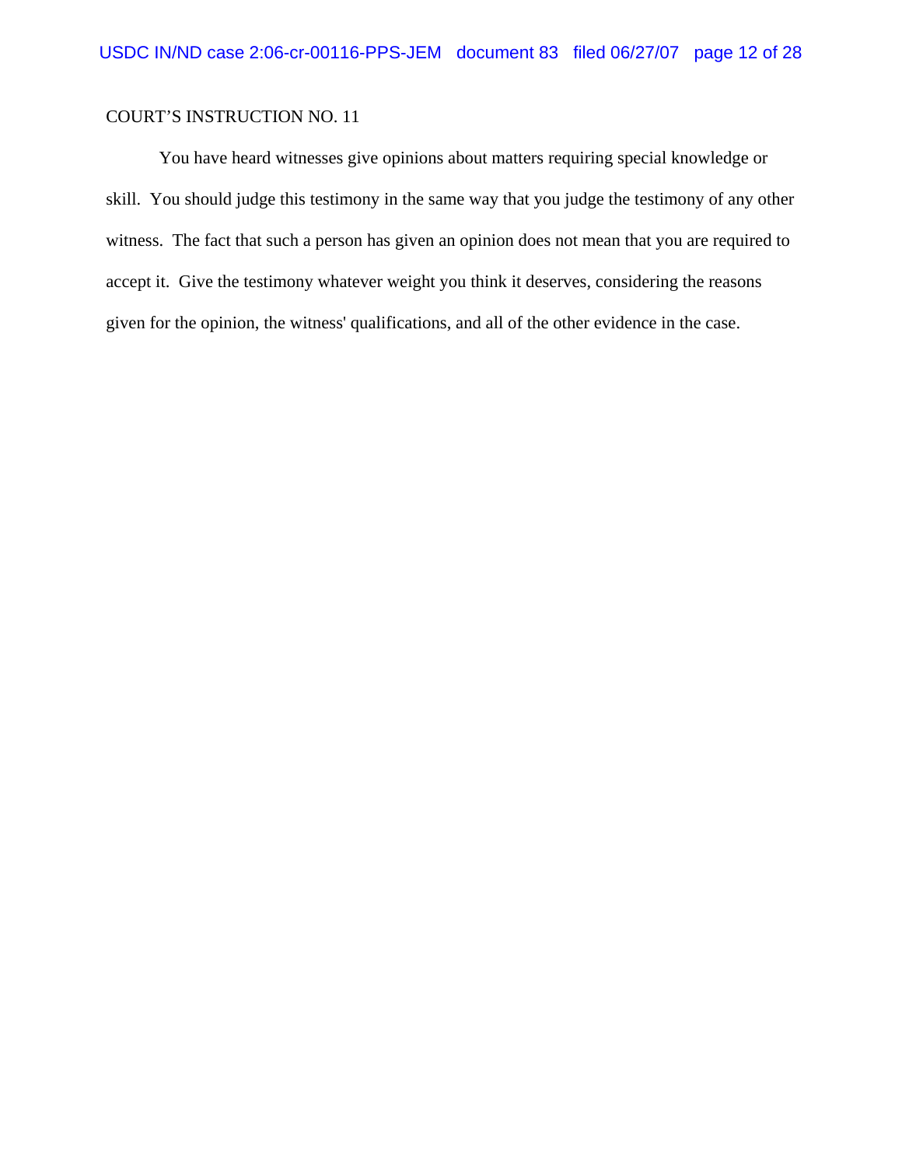You have heard witnesses give opinions about matters requiring special knowledge or skill. You should judge this testimony in the same way that you judge the testimony of any other witness. The fact that such a person has given an opinion does not mean that you are required to accept it. Give the testimony whatever weight you think it deserves, considering the reasons given for the opinion, the witness' qualifications, and all of the other evidence in the case.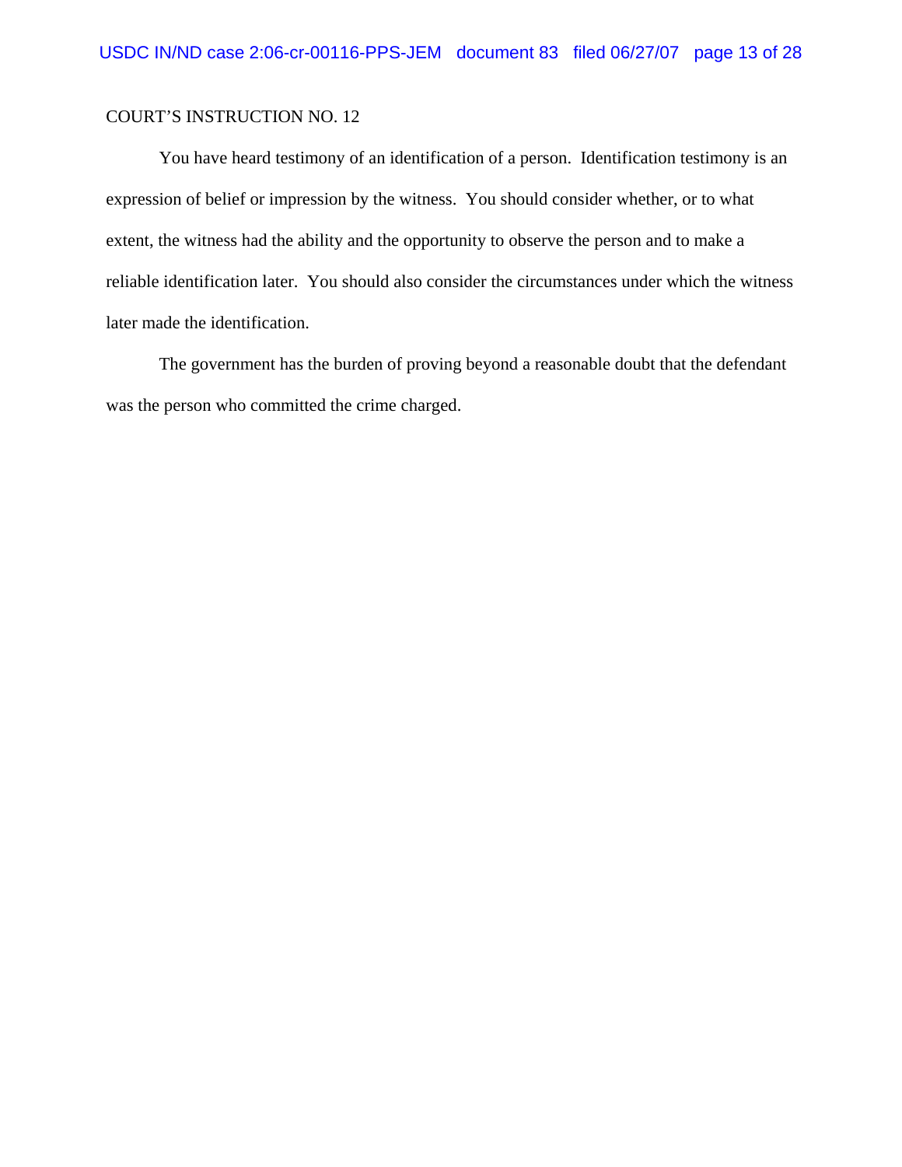You have heard testimony of an identification of a person. Identification testimony is an expression of belief or impression by the witness. You should consider whether, or to what extent, the witness had the ability and the opportunity to observe the person and to make a reliable identification later. You should also consider the circumstances under which the witness later made the identification.

The government has the burden of proving beyond a reasonable doubt that the defendant was the person who committed the crime charged.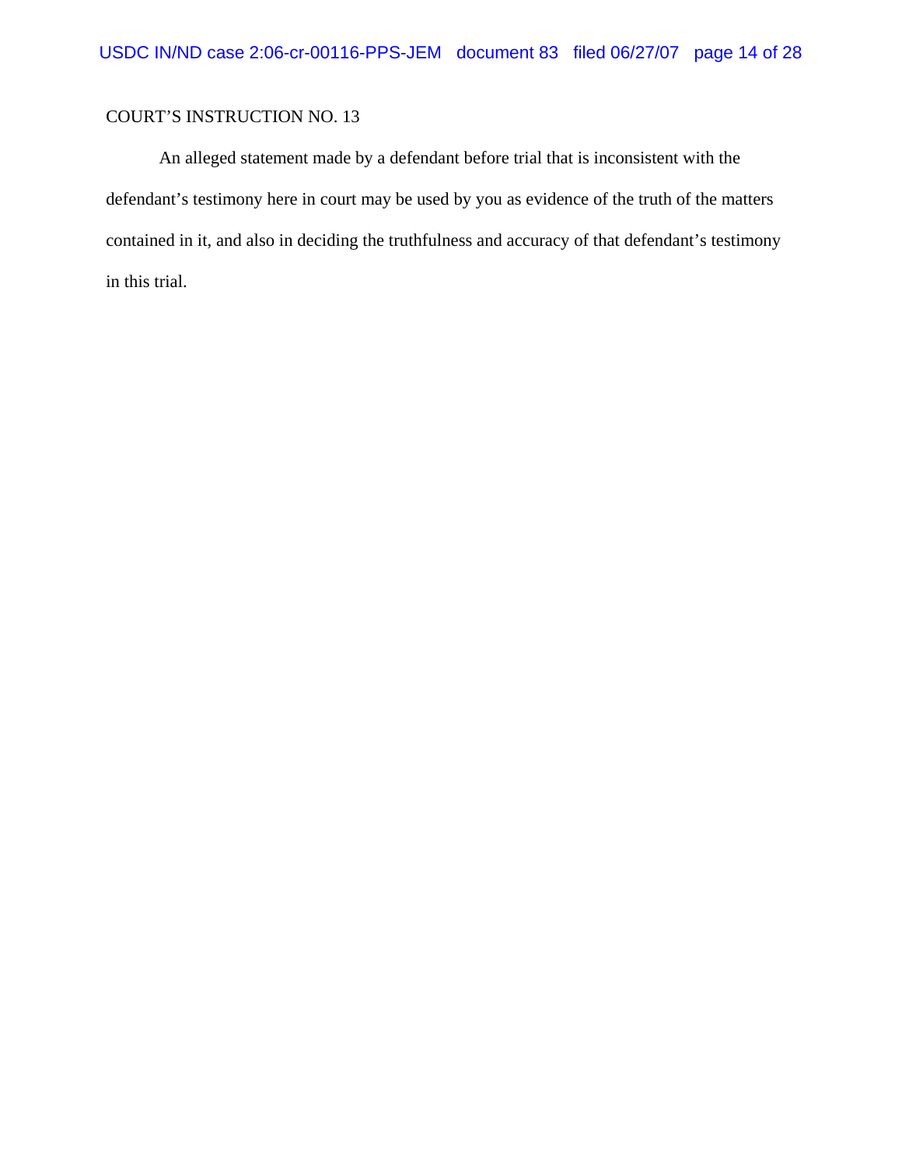An alleged statement made by a defendant before trial that is inconsistent with the defendant's testimony here in court may be used by you as evidence of the truth of the matters contained in it, and also in deciding the truthfulness and accuracy of that defendant's testimony in this trial.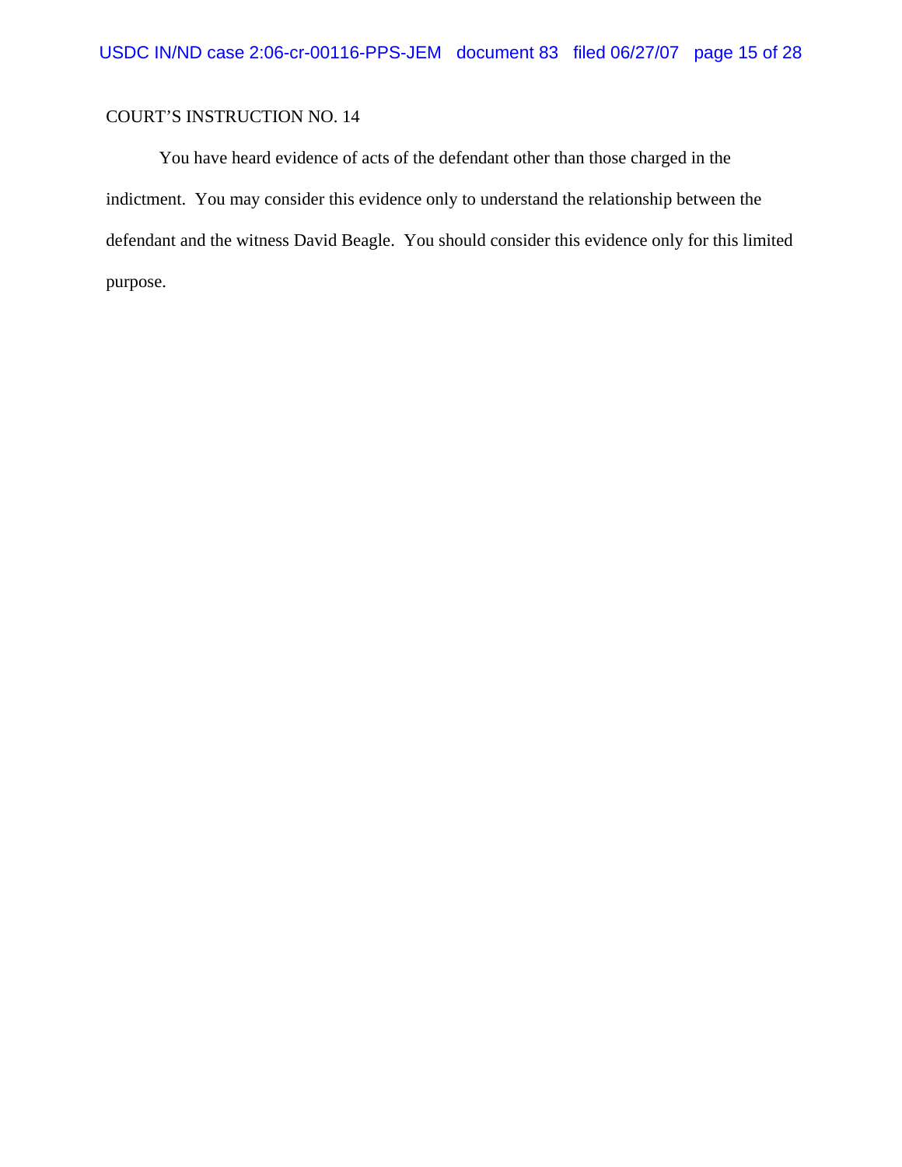You have heard evidence of acts of the defendant other than those charged in the indictment. You may consider this evidence only to understand the relationship between the defendant and the witness David Beagle. You should consider this evidence only for this limited purpose.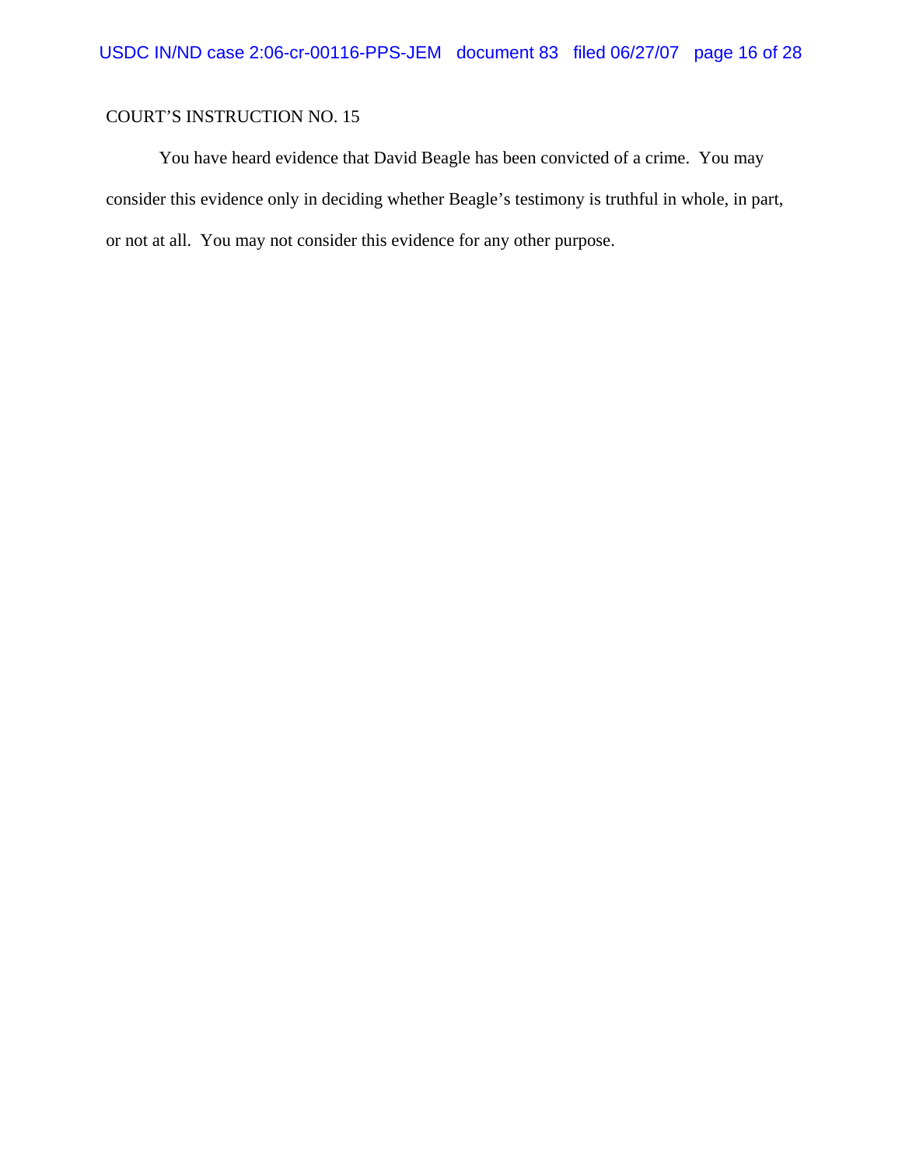You have heard evidence that David Beagle has been convicted of a crime. You may consider this evidence only in deciding whether Beagle's testimony is truthful in whole, in part, or not at all. You may not consider this evidence for any other purpose.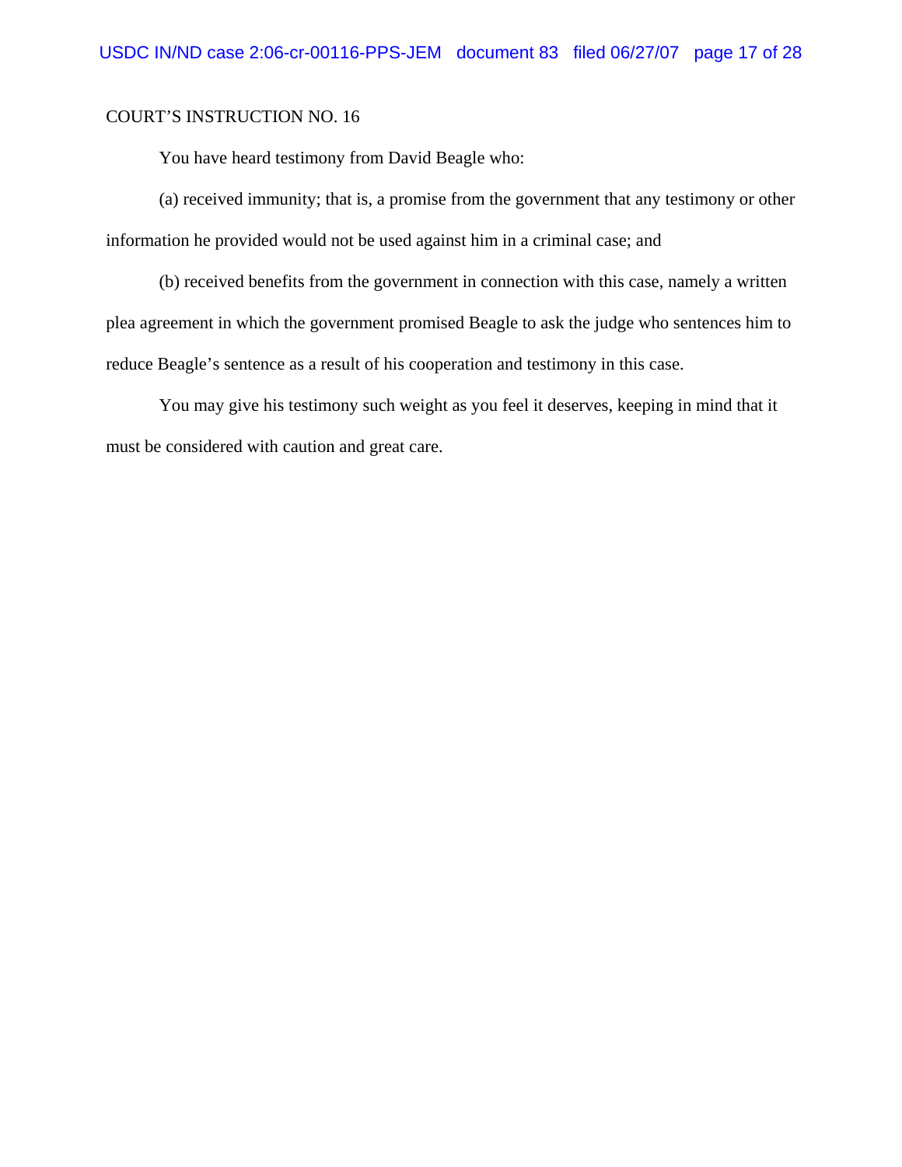You have heard testimony from David Beagle who:

(a) received immunity; that is, a promise from the government that any testimony or other information he provided would not be used against him in a criminal case; and

(b) received benefits from the government in connection with this case, namely a written plea agreement in which the government promised Beagle to ask the judge who sentences him to reduce Beagle's sentence as a result of his cooperation and testimony in this case.

You may give his testimony such weight as you feel it deserves, keeping in mind that it must be considered with caution and great care.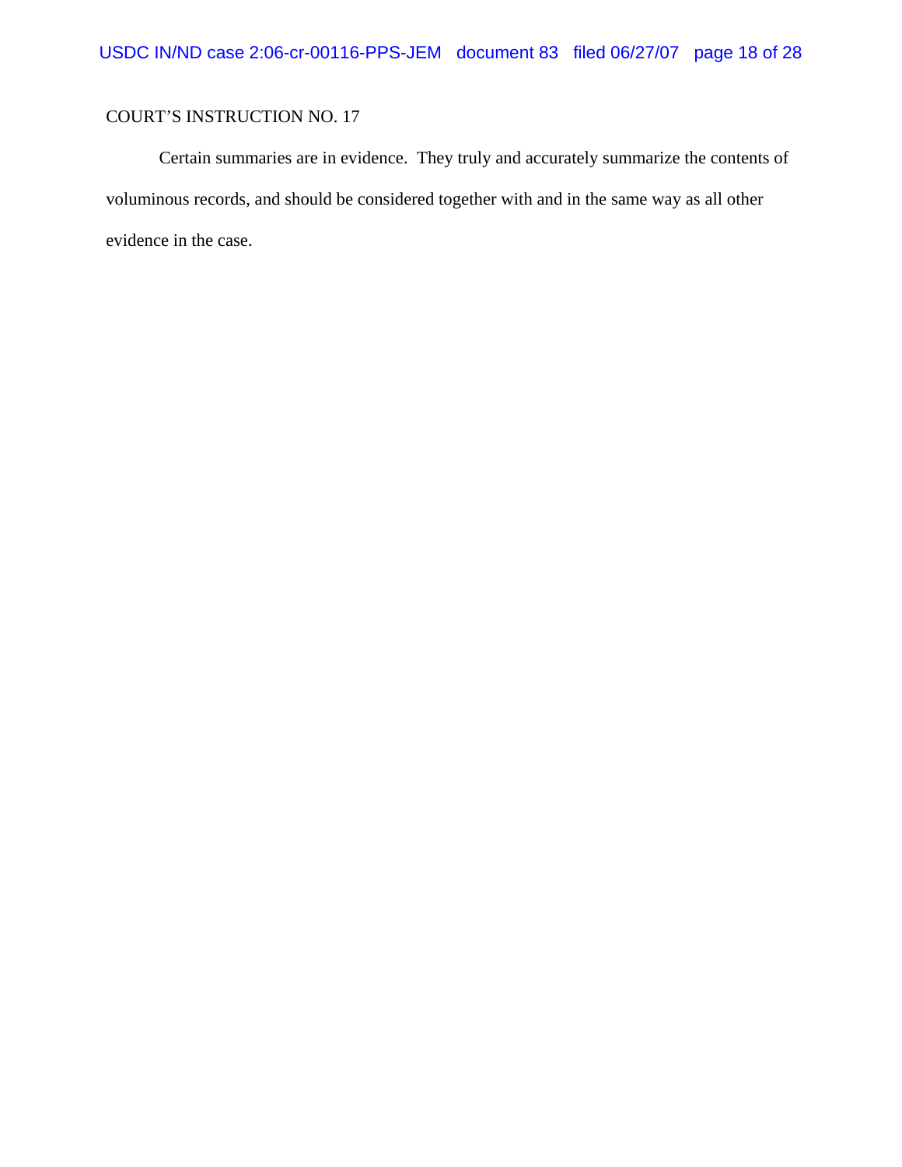Certain summaries are in evidence. They truly and accurately summarize the contents of voluminous records, and should be considered together with and in the same way as all other evidence in the case.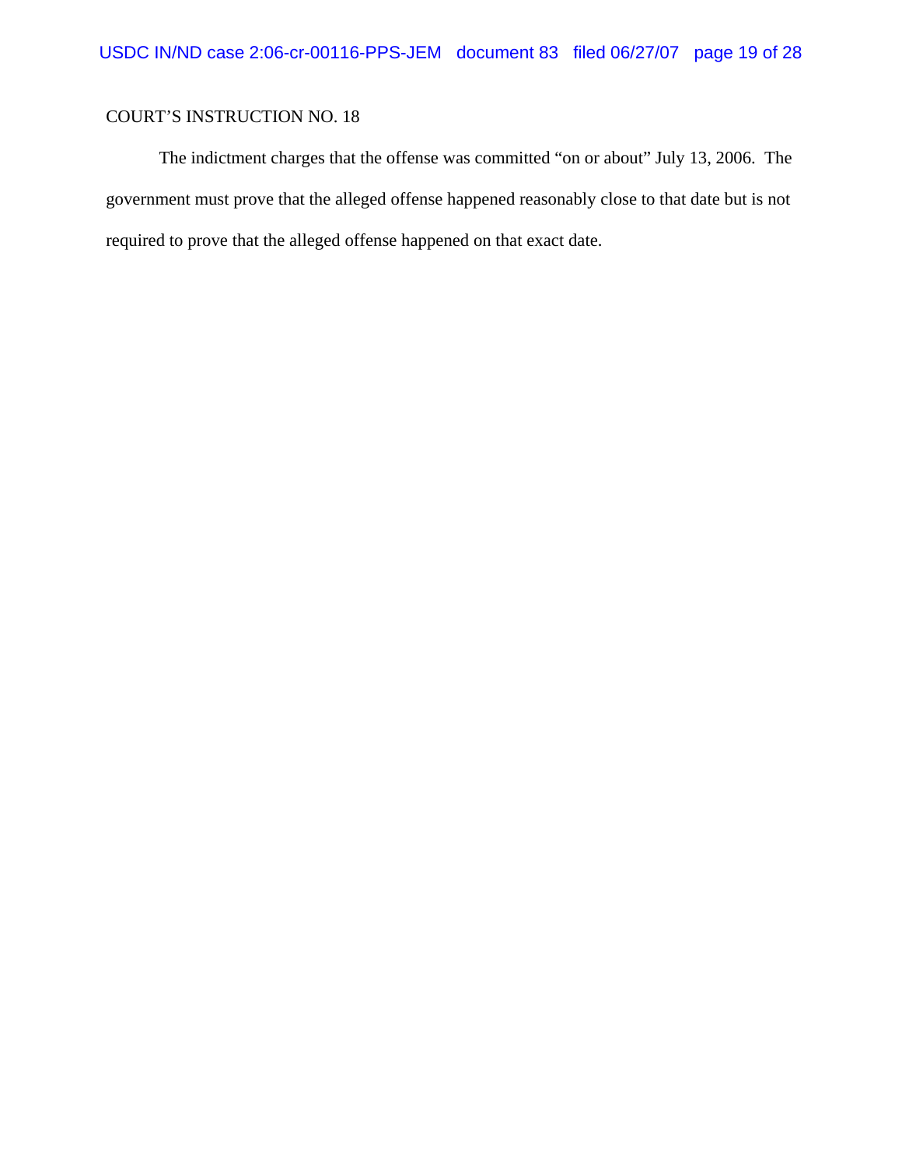The indictment charges that the offense was committed "on or about" July 13, 2006. The government must prove that the alleged offense happened reasonably close to that date but is not required to prove that the alleged offense happened on that exact date.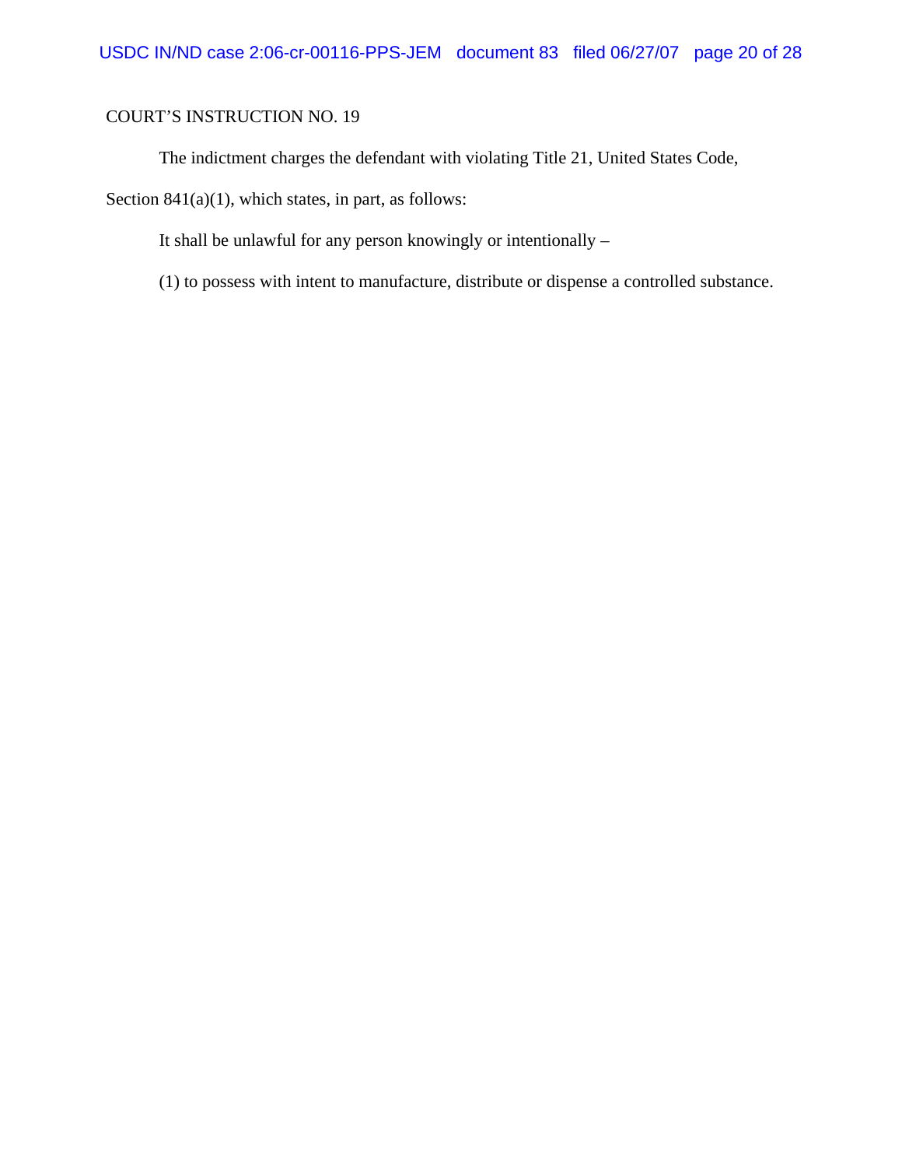The indictment charges the defendant with violating Title 21, United States Code,

Section 841(a)(1), which states, in part, as follows:

It shall be unlawful for any person knowingly or intentionally –

(1) to possess with intent to manufacture, distribute or dispense a controlled substance.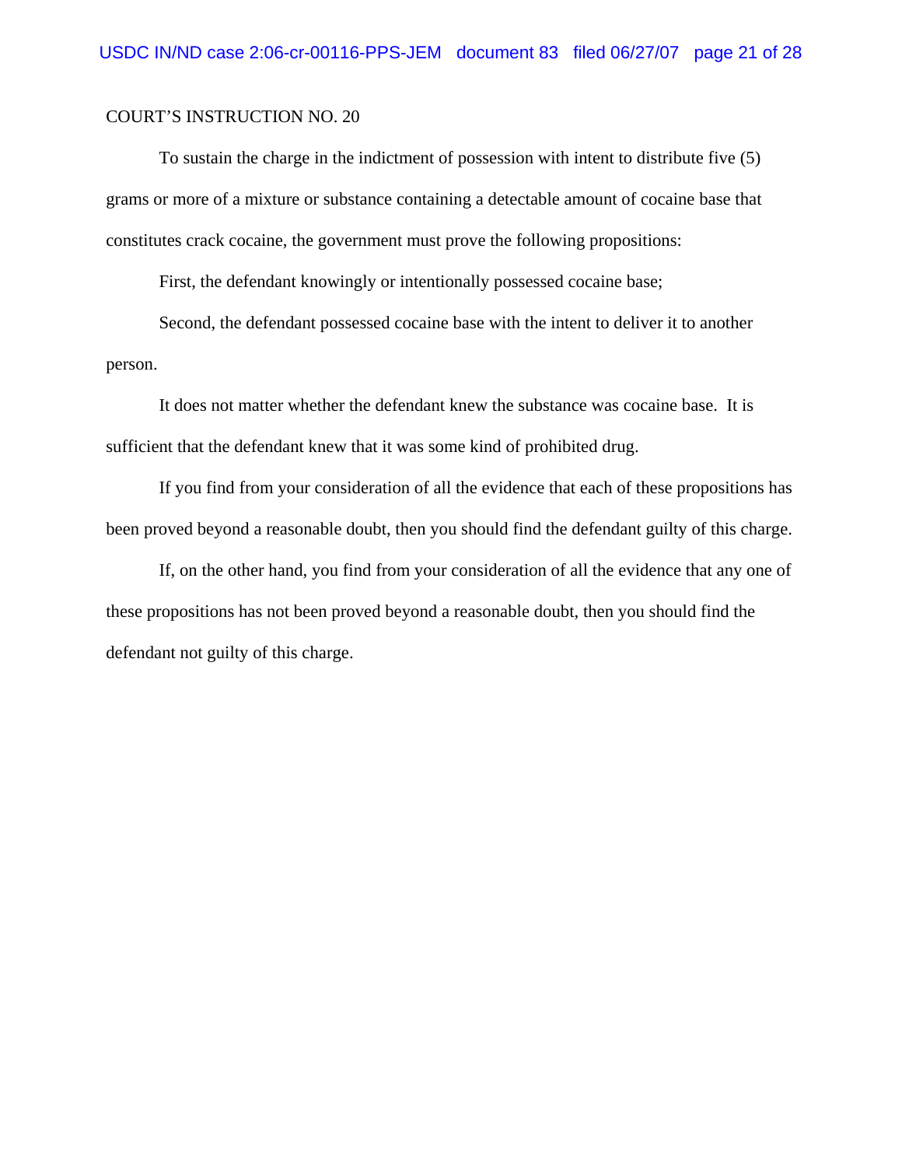To sustain the charge in the indictment of possession with intent to distribute five (5) grams or more of a mixture or substance containing a detectable amount of cocaine base that constitutes crack cocaine, the government must prove the following propositions:

First, the defendant knowingly or intentionally possessed cocaine base;

Second, the defendant possessed cocaine base with the intent to deliver it to another person.

It does not matter whether the defendant knew the substance was cocaine base. It is sufficient that the defendant knew that it was some kind of prohibited drug.

If you find from your consideration of all the evidence that each of these propositions has been proved beyond a reasonable doubt, then you should find the defendant guilty of this charge.

If, on the other hand, you find from your consideration of all the evidence that any one of these propositions has not been proved beyond a reasonable doubt, then you should find the defendant not guilty of this charge.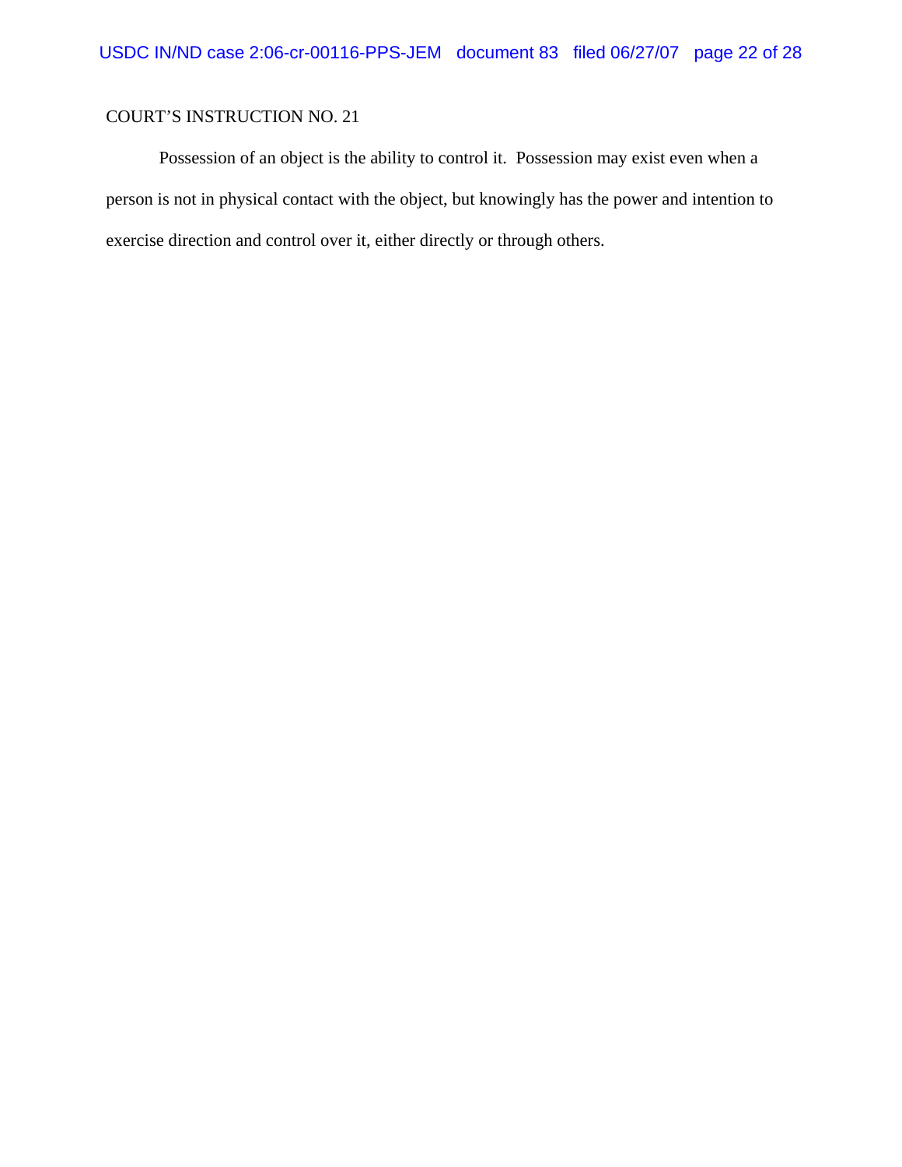Possession of an object is the ability to control it. Possession may exist even when a person is not in physical contact with the object, but knowingly has the power and intention to exercise direction and control over it, either directly or through others.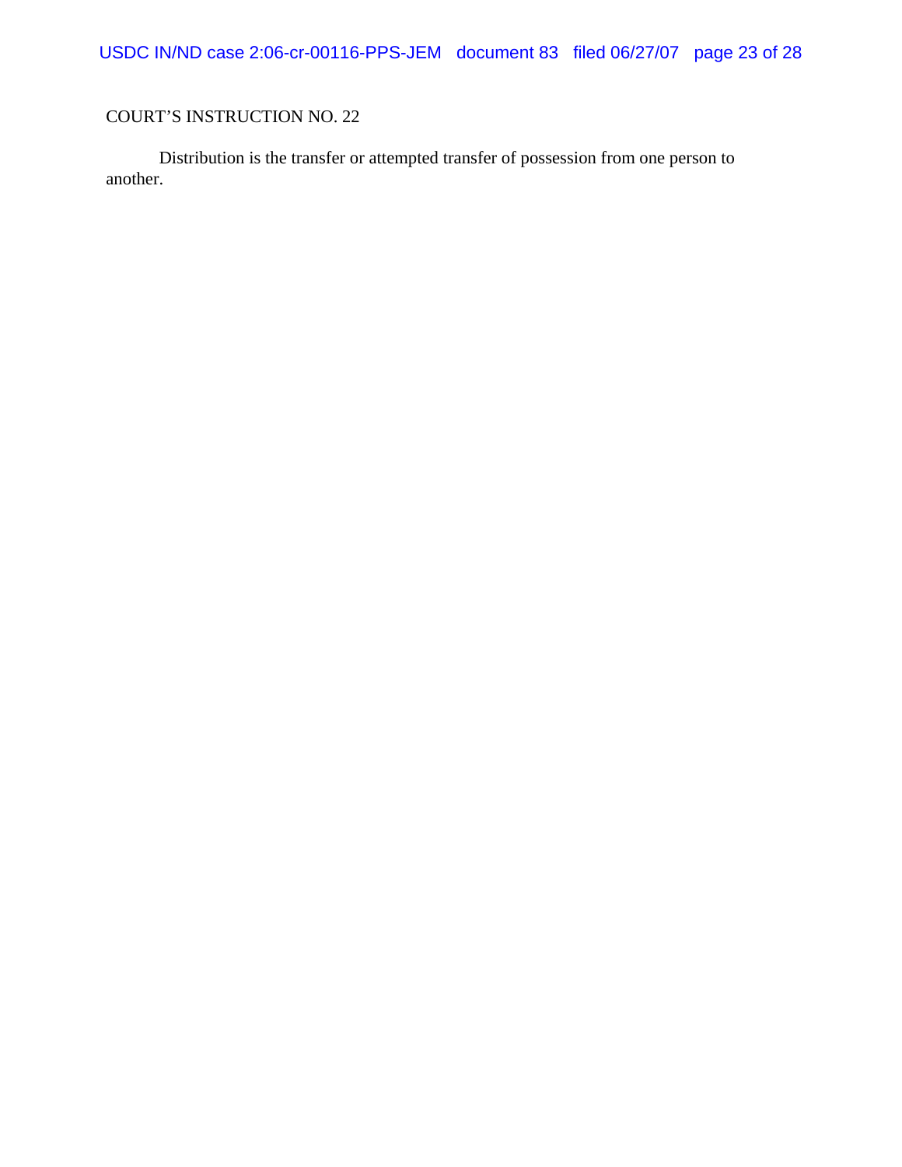USDC IN/ND case 2:06-cr-00116-PPS-JEM document 83 filed 06/27/07 page 23 of 28

# COURT'S INSTRUCTION NO. 22

Distribution is the transfer or attempted transfer of possession from one person to another.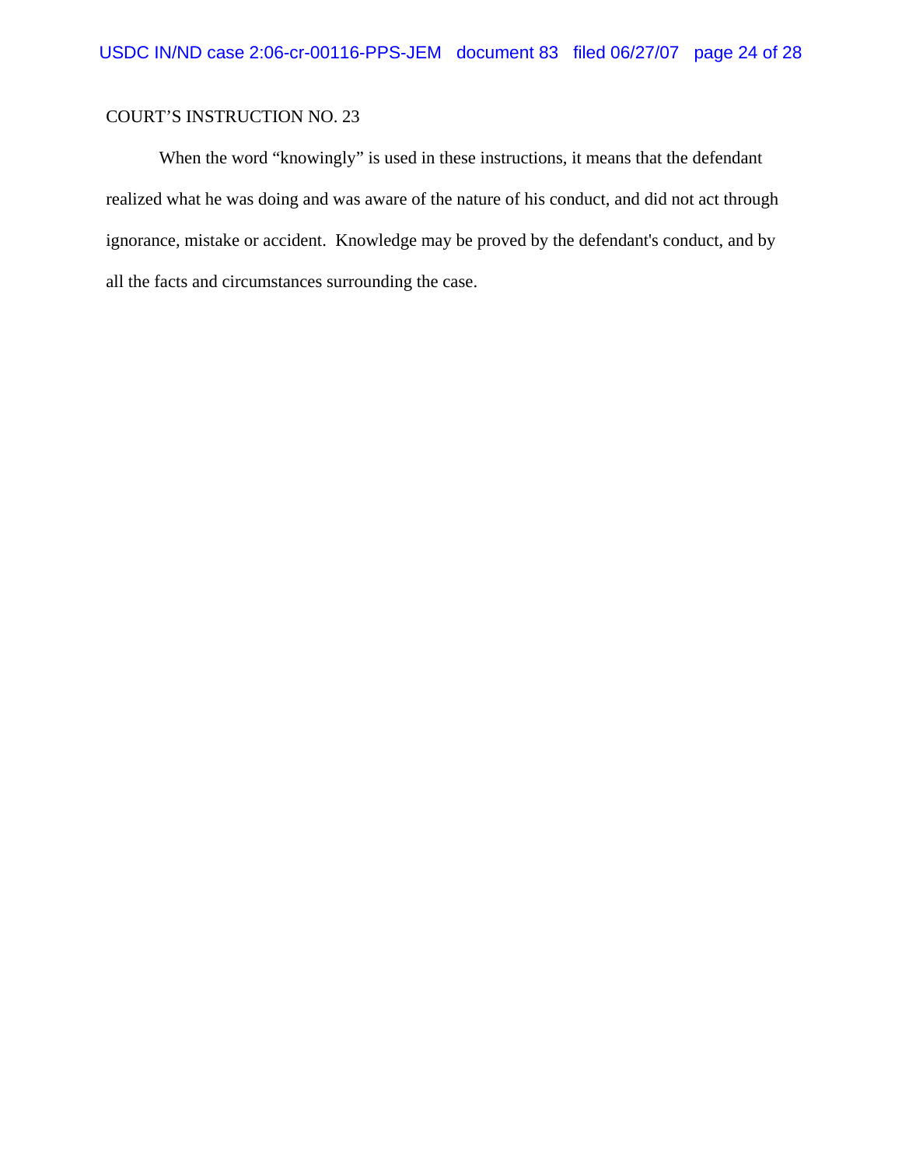When the word "knowingly" is used in these instructions, it means that the defendant realized what he was doing and was aware of the nature of his conduct, and did not act through ignorance, mistake or accident. Knowledge may be proved by the defendant's conduct, and by all the facts and circumstances surrounding the case.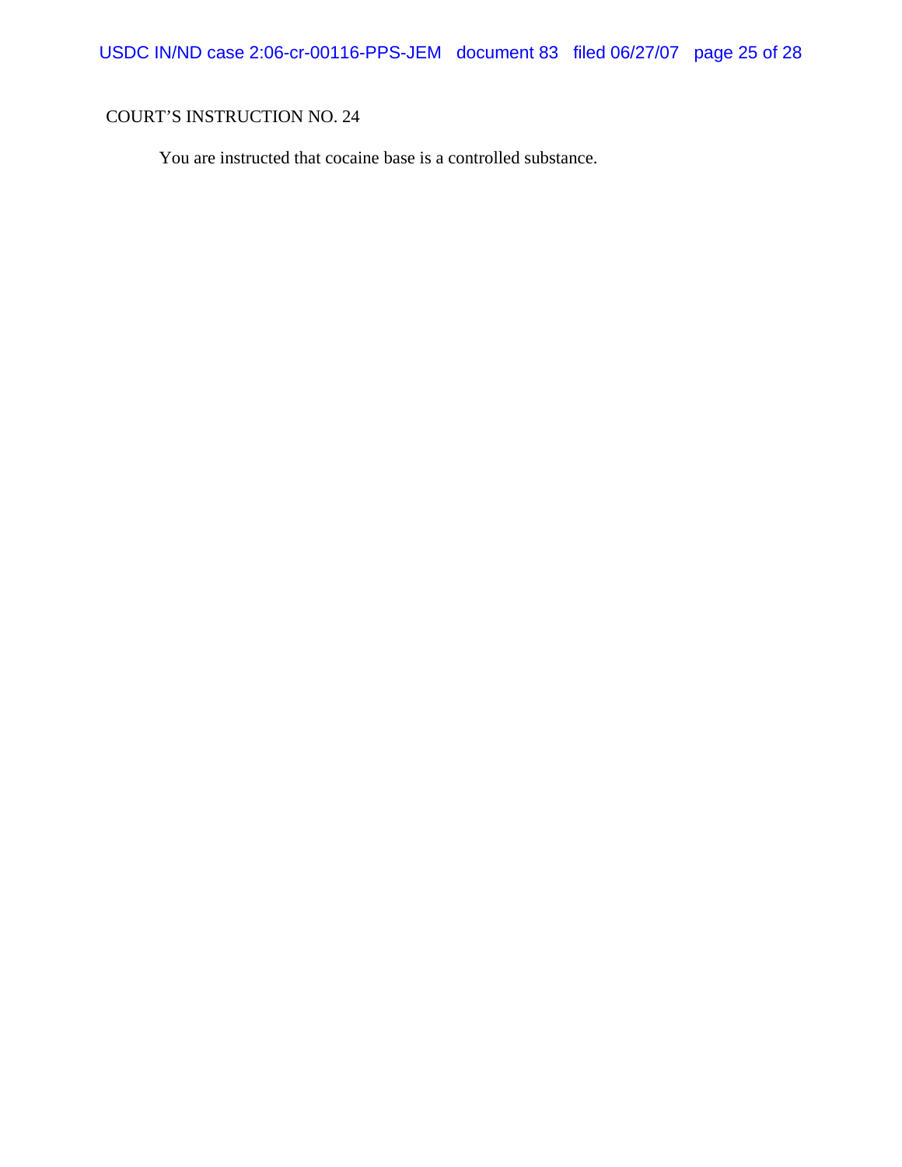You are instructed that cocaine base is a controlled substance.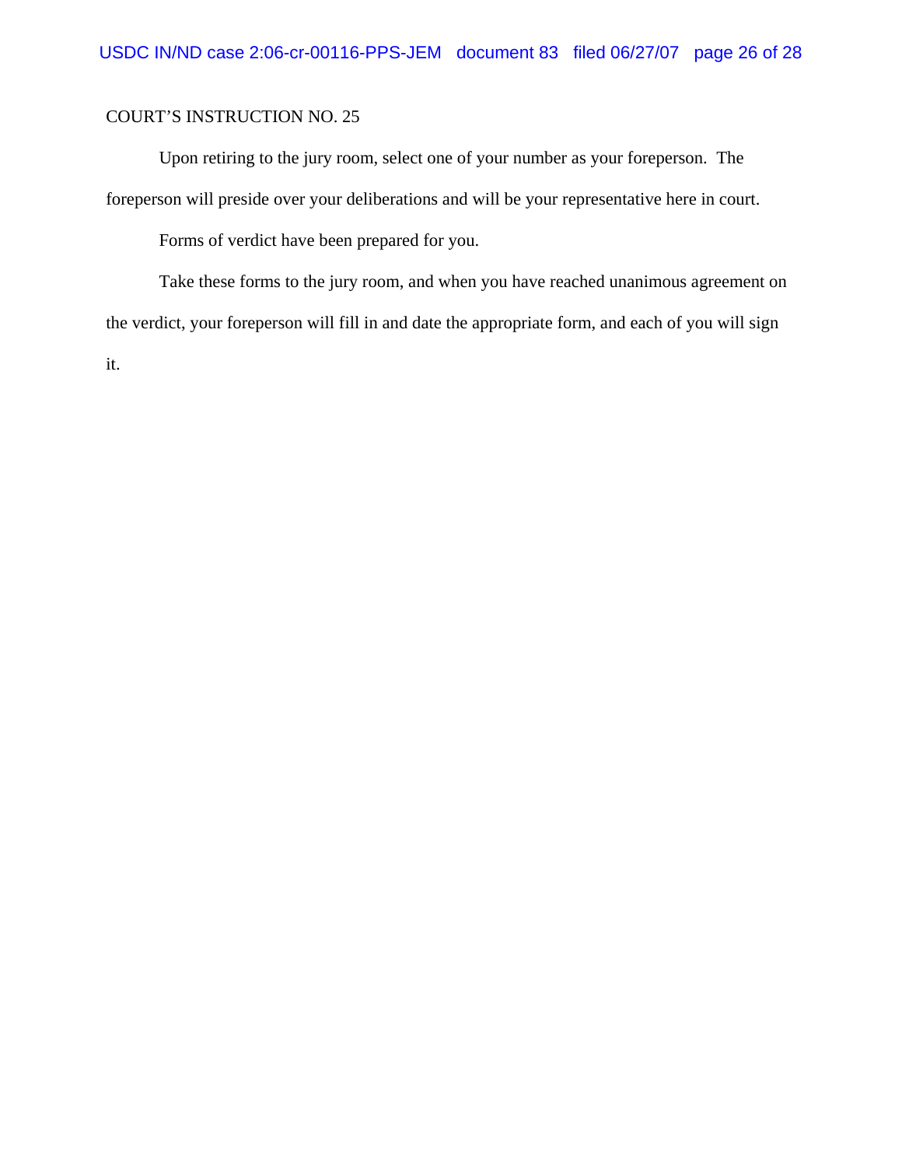Upon retiring to the jury room, select one of your number as your foreperson. The foreperson will preside over your deliberations and will be your representative here in court.

Forms of verdict have been prepared for you.

Take these forms to the jury room, and when you have reached unanimous agreement on the verdict, your foreperson will fill in and date the appropriate form, and each of you will sign it.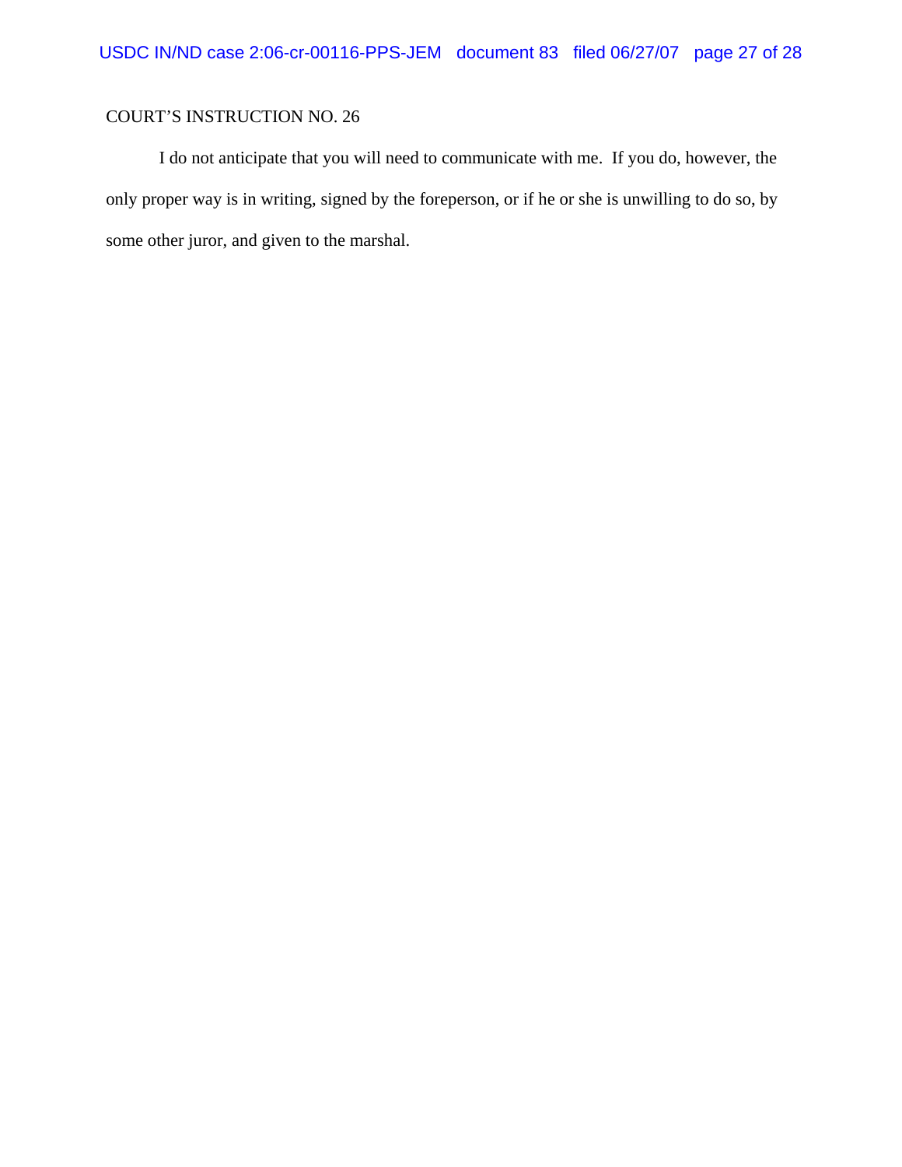I do not anticipate that you will need to communicate with me. If you do, however, the only proper way is in writing, signed by the foreperson, or if he or she is unwilling to do so, by some other juror, and given to the marshal.